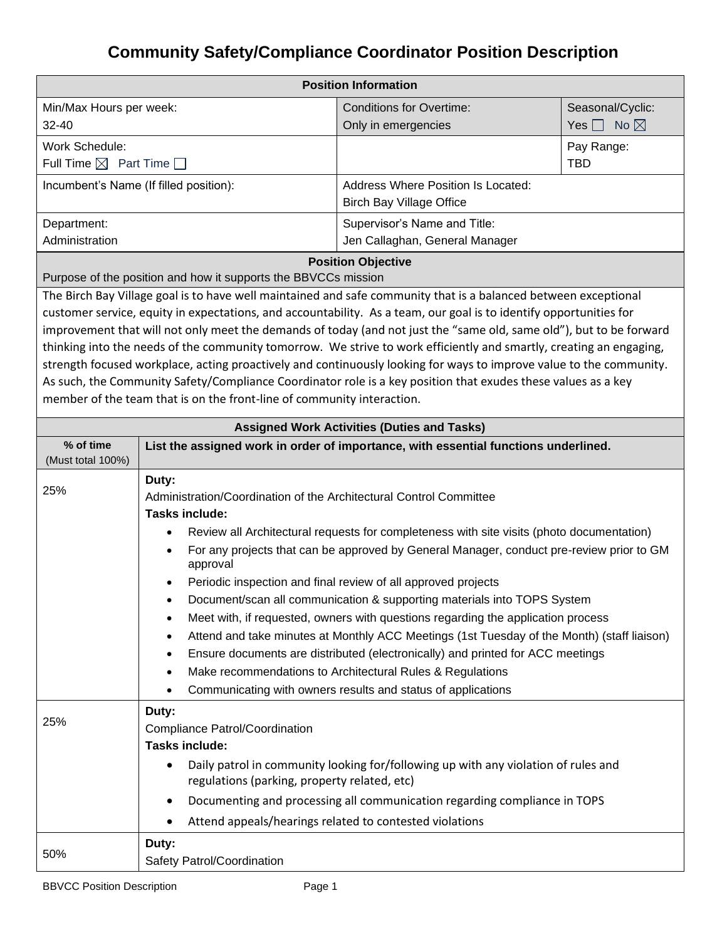## **Community Safety/Compliance Coordinator Position Description**

| <b>Position Information</b>                                    |                                                                        |                                                                                                                                                                                                                                           |                           |  |  |
|----------------------------------------------------------------|------------------------------------------------------------------------|-------------------------------------------------------------------------------------------------------------------------------------------------------------------------------------------------------------------------------------------|---------------------------|--|--|
| Min/Max Hours per week:                                        |                                                                        | <b>Conditions for Overtime:</b>                                                                                                                                                                                                           | Seasonal/Cyclic:          |  |  |
| 32-40                                                          |                                                                        | Only in emergencies                                                                                                                                                                                                                       | Yes $\Box$ No $\boxtimes$ |  |  |
| Work Schedule:                                                 |                                                                        |                                                                                                                                                                                                                                           | Pay Range:                |  |  |
| Full Time $\boxtimes$ Part Time $\Box$                         |                                                                        |                                                                                                                                                                                                                                           | <b>TBD</b>                |  |  |
|                                                                | Incumbent's Name (If filled position):                                 | <b>Address Where Position Is Located:</b>                                                                                                                                                                                                 |                           |  |  |
|                                                                |                                                                        | <b>Birch Bay Village Office</b>                                                                                                                                                                                                           |                           |  |  |
| Department:                                                    |                                                                        | Supervisor's Name and Title:                                                                                                                                                                                                              |                           |  |  |
| Administration                                                 |                                                                        | Jen Callaghan, General Manager                                                                                                                                                                                                            |                           |  |  |
| <b>Position Objective</b>                                      |                                                                        |                                                                                                                                                                                                                                           |                           |  |  |
| Purpose of the position and how it supports the BBVCCs mission |                                                                        |                                                                                                                                                                                                                                           |                           |  |  |
|                                                                |                                                                        | The Birch Bay Village goal is to have well maintained and safe community that is a balanced between exceptional                                                                                                                           |                           |  |  |
|                                                                |                                                                        | customer service, equity in expectations, and accountability. As a team, our goal is to identify opportunities for<br>improvement that will not only meet the demands of today (and not just the "same old, same old"), but to be forward |                           |  |  |
|                                                                |                                                                        | thinking into the needs of the community tomorrow. We strive to work efficiently and smartly, creating an engaging,                                                                                                                       |                           |  |  |
|                                                                |                                                                        | strength focused workplace, acting proactively and continuously looking for ways to improve value to the community.                                                                                                                       |                           |  |  |
|                                                                |                                                                        | As such, the Community Safety/Compliance Coordinator role is a key position that exudes these values as a key                                                                                                                             |                           |  |  |
|                                                                | member of the team that is on the front-line of community interaction. |                                                                                                                                                                                                                                           |                           |  |  |
|                                                                |                                                                        |                                                                                                                                                                                                                                           |                           |  |  |
| <b>Assigned Work Activities (Duties and Tasks)</b>             |                                                                        |                                                                                                                                                                                                                                           |                           |  |  |
| % of time<br>(Must total 100%)                                 |                                                                        | List the assigned work in order of importance, with essential functions underlined.                                                                                                                                                       |                           |  |  |
|                                                                | Duty:                                                                  |                                                                                                                                                                                                                                           |                           |  |  |
| 25%                                                            | Administration/Coordination of the Architectural Control Committee     |                                                                                                                                                                                                                                           |                           |  |  |
|                                                                | <b>Tasks include:</b>                                                  |                                                                                                                                                                                                                                           |                           |  |  |
|                                                                | ٠                                                                      | Review all Architectural requests for completeness with site visits (photo documentation)                                                                                                                                                 |                           |  |  |
|                                                                | $\bullet$<br>approval                                                  | For any projects that can be approved by General Manager, conduct pre-review prior to GM                                                                                                                                                  |                           |  |  |
|                                                                | ٠                                                                      | Periodic inspection and final review of all approved projects                                                                                                                                                                             |                           |  |  |
|                                                                |                                                                        | Document/scan all communication & supporting materials into TOPS System                                                                                                                                                                   |                           |  |  |
|                                                                | ٠                                                                      | Meet with, if requested, owners with questions regarding the application process                                                                                                                                                          |                           |  |  |
|                                                                |                                                                        | Attend and take minutes at Monthly ACC Meetings (1st Tuesday of the Month) (staff liaison)                                                                                                                                                |                           |  |  |
|                                                                | ٠                                                                      | Ensure documents are distributed (electronically) and printed for ACC meetings                                                                                                                                                            |                           |  |  |
|                                                                | $\bullet$                                                              | Make recommendations to Architectural Rules & Regulations                                                                                                                                                                                 |                           |  |  |
|                                                                | ٠                                                                      | Communicating with owners results and status of applications                                                                                                                                                                              |                           |  |  |
|                                                                | Duty:                                                                  |                                                                                                                                                                                                                                           |                           |  |  |
| 25%                                                            | <b>Compliance Patrol/Coordination</b>                                  |                                                                                                                                                                                                                                           |                           |  |  |
|                                                                | <b>Tasks include:</b>                                                  |                                                                                                                                                                                                                                           |                           |  |  |
|                                                                | ٠<br>regulations (parking, property related, etc)                      | Daily patrol in community looking for/following up with any violation of rules and                                                                                                                                                        |                           |  |  |
|                                                                | ٠                                                                      | Documenting and processing all communication regarding compliance in TOPS                                                                                                                                                                 |                           |  |  |
|                                                                | ٠                                                                      | Attend appeals/hearings related to contested violations                                                                                                                                                                                   |                           |  |  |
|                                                                |                                                                        |                                                                                                                                                                                                                                           |                           |  |  |
| 50%                                                            | Duty:<br>Safety Patrol/Coordination                                    |                                                                                                                                                                                                                                           |                           |  |  |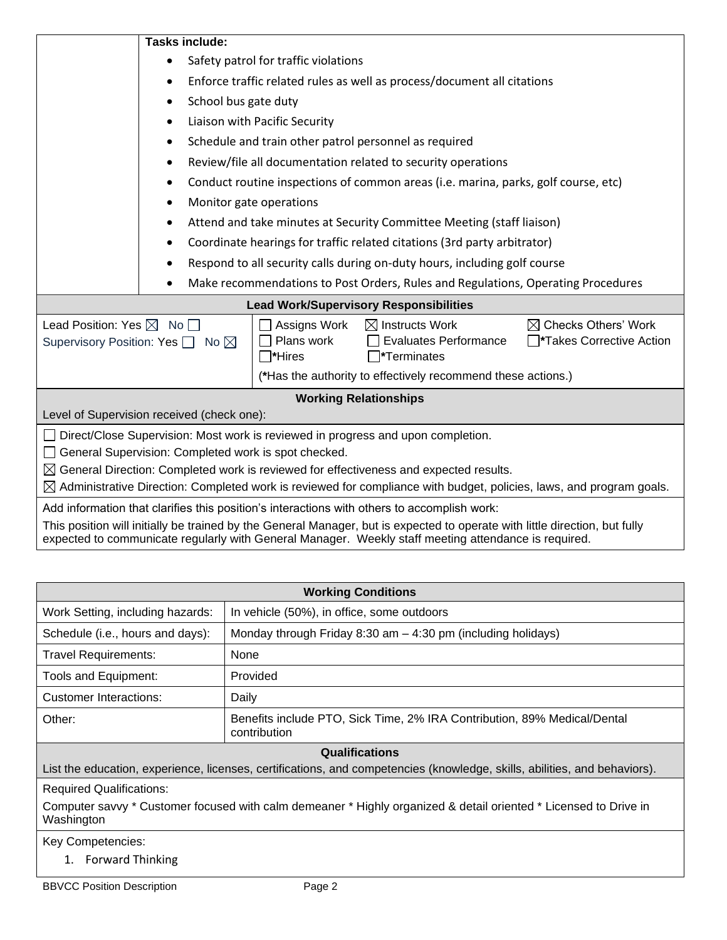|                                                                                                                                   | <b>Tasks include:</b>                                                                                                       |                       |                                                                                    |                                 |  |
|-----------------------------------------------------------------------------------------------------------------------------------|-----------------------------------------------------------------------------------------------------------------------------|-----------------------|------------------------------------------------------------------------------------|---------------------------------|--|
|                                                                                                                                   | Safety patrol for traffic violations<br>$\bullet$                                                                           |                       |                                                                                    |                                 |  |
|                                                                                                                                   | Enforce traffic related rules as well as process/document all citations<br>٠                                                |                       |                                                                                    |                                 |  |
|                                                                                                                                   | School bus gate duty<br>٠                                                                                                   |                       |                                                                                    |                                 |  |
|                                                                                                                                   | Liaison with Pacific Security<br>$\bullet$                                                                                  |                       |                                                                                    |                                 |  |
|                                                                                                                                   | Schedule and train other patrol personnel as required                                                                       |                       |                                                                                    |                                 |  |
|                                                                                                                                   | Review/file all documentation related to security operations                                                                |                       |                                                                                    |                                 |  |
|                                                                                                                                   |                                                                                                                             |                       | Conduct routine inspections of common areas (i.e. marina, parks, golf course, etc) |                                 |  |
|                                                                                                                                   | Monitor gate operations                                                                                                     |                       |                                                                                    |                                 |  |
|                                                                                                                                   |                                                                                                                             |                       | Attend and take minutes at Security Committee Meeting (staff liaison)              |                                 |  |
|                                                                                                                                   | Coordinate hearings for traffic related citations (3rd party arbitrator)                                                    |                       |                                                                                    |                                 |  |
|                                                                                                                                   |                                                                                                                             |                       | Respond to all security calls during on-duty hours, including golf course          |                                 |  |
|                                                                                                                                   |                                                                                                                             |                       |                                                                                    |                                 |  |
| Make recommendations to Post Orders, Rules and Regulations, Operating Procedures<br><b>Lead Work/Supervisory Responsibilities</b> |                                                                                                                             |                       |                                                                                    |                                 |  |
|                                                                                                                                   |                                                                                                                             |                       |                                                                                    |                                 |  |
| Lead Position: Yes $\boxtimes~$ No $\Box$                                                                                         |                                                                                                                             | Assigns Work          | $\boxtimes$ Instructs Work                                                         | $\boxtimes$ Checks Others' Work |  |
| Supervisory Position: Yes $\Box$ No $\boxtimes$                                                                                   |                                                                                                                             | Plans work<br>∃*Hires | <b>Evaluates Performance</b><br>$\square$ *Terminates                              | Takes Corrective Action         |  |
|                                                                                                                                   |                                                                                                                             |                       | (*Has the authority to effectively recommend these actions.)                       |                                 |  |
| <b>Working Relationships</b>                                                                                                      |                                                                                                                             |                       |                                                                                    |                                 |  |
| Level of Supervision received (check one):                                                                                        |                                                                                                                             |                       |                                                                                    |                                 |  |
| Direct/Close Supervision: Most work is reviewed in progress and upon completion.                                                  |                                                                                                                             |                       |                                                                                    |                                 |  |
| General Supervision: Completed work is spot checked.                                                                              |                                                                                                                             |                       |                                                                                    |                                 |  |
| $\boxtimes$ General Direction: Completed work is reviewed for effectiveness and expected results.                                 |                                                                                                                             |                       |                                                                                    |                                 |  |
| $\boxtimes$ Administrative Direction: Completed work is reviewed for compliance with budget, policies, laws, and program goals.   |                                                                                                                             |                       |                                                                                    |                                 |  |
| Add information that clarifies this position's interactions with others to accomplish work:                                       |                                                                                                                             |                       |                                                                                    |                                 |  |
|                                                                                                                                   | This position will initially be trained by the General Manager, but is expected to operate with little direction, but fully |                       |                                                                                    |                                 |  |
| expected to communicate regularly with General Manager. Weekly staff meeting attendance is required.                              |                                                                                                                             |                       |                                                                                    |                                 |  |

| <b>Working Conditions</b>                                                                                                      |                                                                                          |  |  |  |
|--------------------------------------------------------------------------------------------------------------------------------|------------------------------------------------------------------------------------------|--|--|--|
| Work Setting, including hazards:                                                                                               | In vehicle (50%), in office, some outdoors                                               |  |  |  |
| Schedule (i.e., hours and days):                                                                                               | Monday through Friday 8:30 am $-$ 4:30 pm (including holidays)                           |  |  |  |
| <b>Travel Requirements:</b>                                                                                                    | None                                                                                     |  |  |  |
| Tools and Equipment:                                                                                                           | Provided                                                                                 |  |  |  |
| Customer Interactions:                                                                                                         | Daily                                                                                    |  |  |  |
| Other:                                                                                                                         | Benefits include PTO, Sick Time, 2% IRA Contribution, 89% Medical/Dental<br>contribution |  |  |  |
| <b>Qualifications</b>                                                                                                          |                                                                                          |  |  |  |
| List the education, experience, licenses, certifications, and competencies (knowledge, skills, abilities, and behaviors).      |                                                                                          |  |  |  |
| <b>Required Qualifications:</b>                                                                                                |                                                                                          |  |  |  |
| Computer savvy * Customer focused with calm demeaner * Highly organized & detail oriented * Licensed to Drive in<br>Washington |                                                                                          |  |  |  |
| Key Competencies:                                                                                                              |                                                                                          |  |  |  |
| <b>Forward Thinking</b><br>1.                                                                                                  |                                                                                          |  |  |  |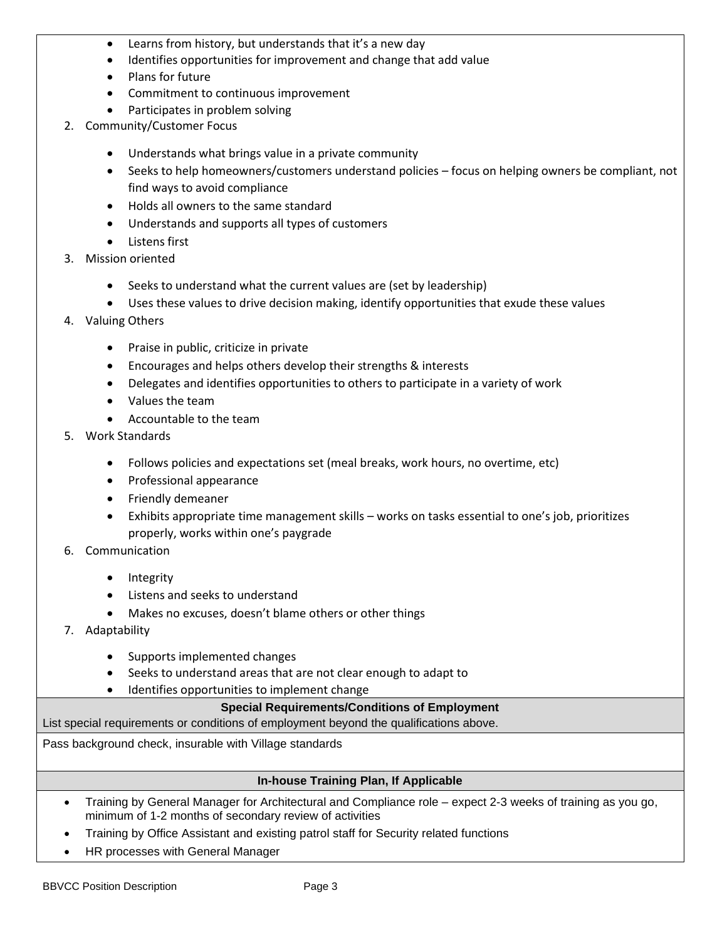- Learns from history, but understands that it's a new day
- Identifies opportunities for improvement and change that add value
- Plans for future
- Commitment to continuous improvement
- Participates in problem solving
- 2. Community/Customer Focus
	- Understands what brings value in a private community
	- Seeks to help homeowners/customers understand policies focus on helping owners be compliant, not find ways to avoid compliance
	- Holds all owners to the same standard
	- Understands and supports all types of customers
	- Listens first
- 3. Mission oriented
	- Seeks to understand what the current values are (set by leadership)
	- Uses these values to drive decision making, identify opportunities that exude these values
- 4. Valuing Others
	- Praise in public, criticize in private
	- Encourages and helps others develop their strengths & interests
	- Delegates and identifies opportunities to others to participate in a variety of work
	- Values the team
	- Accountable to the team
- 5. Work Standards
	- Follows policies and expectations set (meal breaks, work hours, no overtime, etc)
	- Professional appearance
	- Friendly demeaner
	- Exhibits appropriate time management skills works on tasks essential to one's job, prioritizes properly, works within one's paygrade
- 6. Communication
	- Integrity
	- Listens and seeks to understand
	- Makes no excuses, doesn't blame others or other things
- 7. Adaptability
	- Supports implemented changes
	- Seeks to understand areas that are not clear enough to adapt to
	- Identifies opportunities to implement change

## **Special Requirements/Conditions of Employment**

List special requirements or conditions of employment beyond the qualifications above.

Pass background check, insurable with Village standards

## **In-house Training Plan, If Applicable**

- Training by General Manager for Architectural and Compliance role expect 2-3 weeks of training as you go, minimum of 1-2 months of secondary review of activities
- Training by Office Assistant and existing patrol staff for Security related functions
- HR processes with General Manager